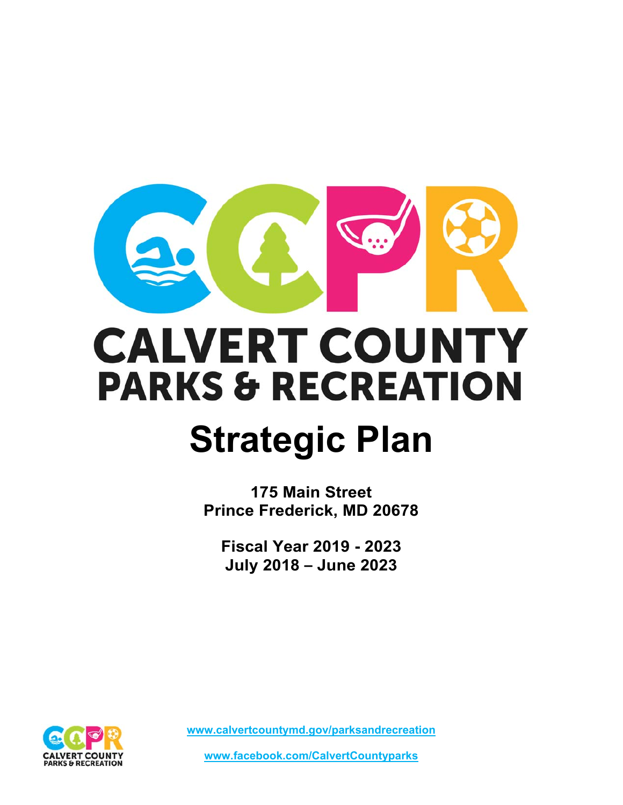

# **CALVERT COUNTY PARKS & RECREATION**

# **Strategic Plan**

**175 Main Street Prince Frederick, MD 20678** 

**Fiscal Year 2019 - 2023 July 2018 – June 2023** 



**www.calvertcountymd.gov/parksandrecreation** 

**www.facebook.com/CalvertCountyparks**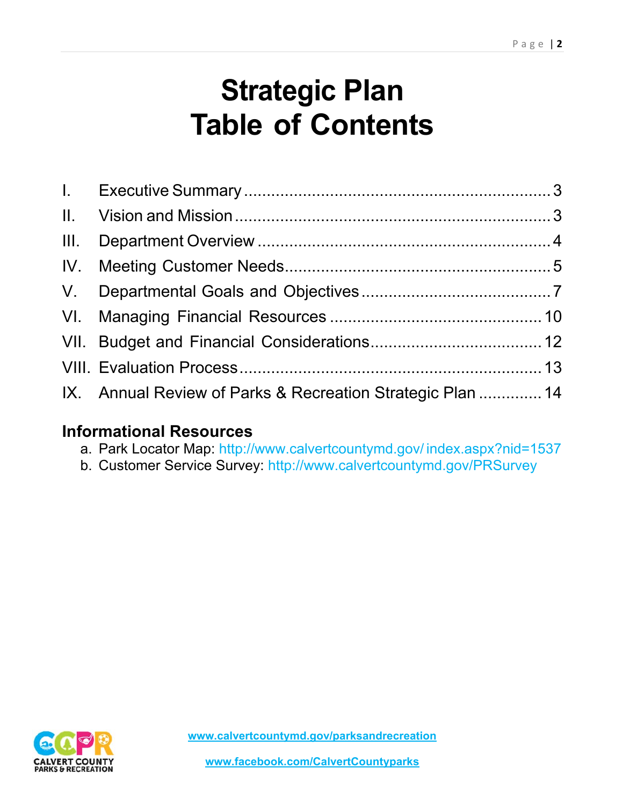# **Strategic Plan Table of Contents**

| IX. Annual Review of Parks & Recreation Strategic Plan  14 |  |
|------------------------------------------------------------|--|

# **Informational Resources**

- a. Park Locator Map: http://www.calvertcountymd.gov/ index.aspx?nid=1537
- b. Customer Service Survey: http://www.calvertcountymd.gov/PRSurvey

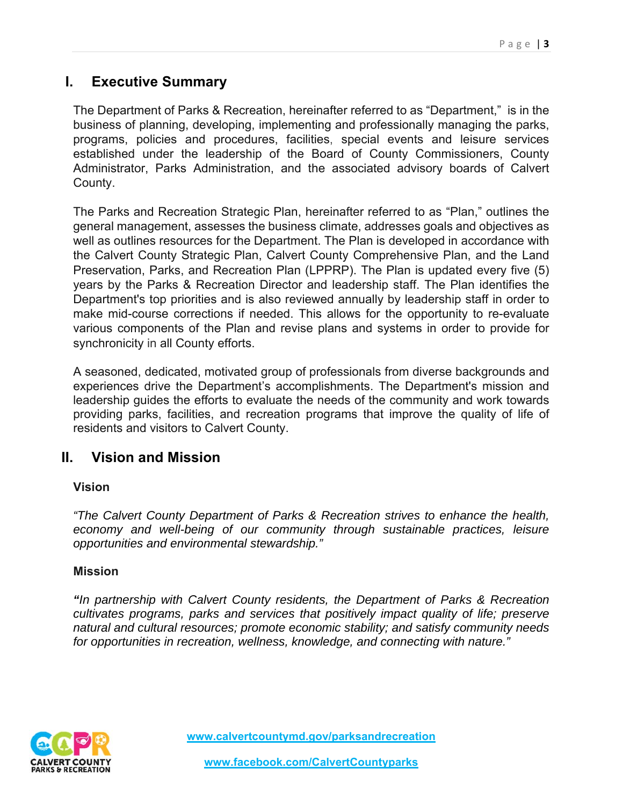# **I. Executive Summary**

The Department of Parks & Recreation, hereinafter referred to as "Department," is in the business of planning, developing, implementing and professionally managing the parks, programs, policies and procedures, facilities, special events and leisure services established under the leadership of the Board of County Commissioners, County Administrator, Parks Administration, and the associated advisory boards of Calvert County.

The Parks and Recreation Strategic Plan, hereinafter referred to as "Plan," outlines the general management, assesses the business climate, addresses goals and objectives as well as outlines resources for the Department. The Plan is developed in accordance with the Calvert County Strategic Plan, Calvert County Comprehensive Plan, and the Land Preservation, Parks, and Recreation Plan (LPPRP). The Plan is updated every five (5) years by the Parks & Recreation Director and leadership staff. The Plan identifies the Department's top priorities and is also reviewed annually by leadership staff in order to make mid-course corrections if needed. This allows for the opportunity to re-evaluate various components of the Plan and revise plans and systems in order to provide for synchronicity in all County efforts.

A seasoned, dedicated, motivated group of professionals from diverse backgrounds and experiences drive the Department's accomplishments. The Department's mission and leadership guides the efforts to evaluate the needs of the community and work towards providing parks, facilities, and recreation programs that improve the quality of life of residents and visitors to Calvert County.

# **II. Vision and Mission**

#### **Vision**

*"The Calvert County Department of Parks & Recreation strives to enhance the health,*  economy and well-being of our community through sustainable practices, leisure *opportunities and environmental stewardship."* 

#### **Mission**

*"In partnership with Calvert County residents, the Department of Parks & Recreation cultivates programs, parks and services that positively impact quality of life; preserve natural and cultural resources; promote economic stability; and satisfy community needs for opportunities in recreation, wellness, knowledge, and connecting with nature."*

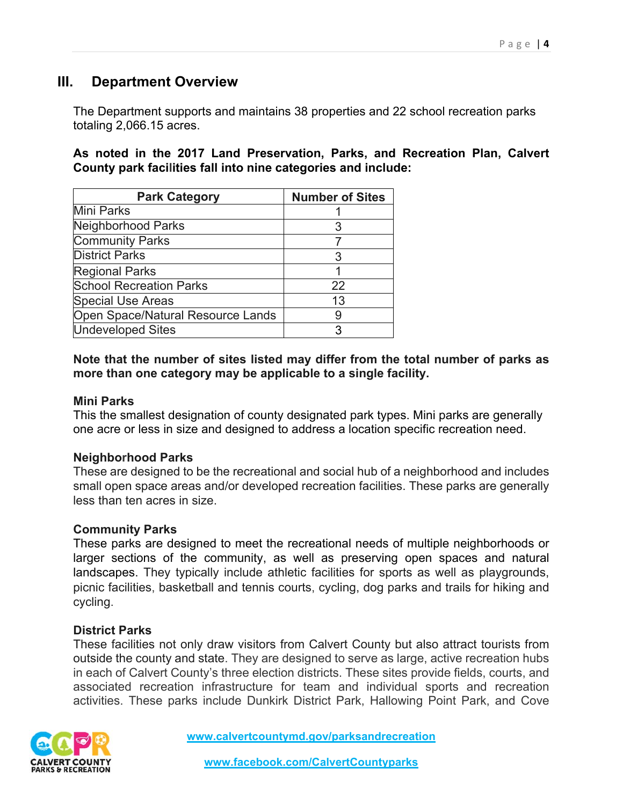# **III. Department Overview**

The Department supports and maintains 38 properties and 22 school recreation parks totaling 2,066.15 acres.

#### **As noted in the 2017 Land Preservation, Parks, and Recreation Plan, Calvert County park facilities fall into nine categories and include:**

| <b>Park Category</b>              | <b>Number of Sites</b> |
|-----------------------------------|------------------------|
| <b>Mini Parks</b>                 |                        |
| Neighborhood Parks                |                        |
| <b>Community Parks</b>            |                        |
| <b>District Parks</b>             | З                      |
| <b>Regional Parks</b>             |                        |
| <b>School Recreation Parks</b>    | 22                     |
| <b>Special Use Areas</b>          | 13                     |
| Open Space/Natural Resource Lands |                        |
| <b>Undeveloped Sites</b>          | З                      |

#### **Note that the number of sites listed may differ from the total number of parks as more than one category may be applicable to a single facility.**

#### **Mini Parks**

This the smallest designation of county designated park types. Mini parks are generally one acre or less in size and designed to address a location specific recreation need.

#### **Neighborhood Parks**

These are designed to be the recreational and social hub of a neighborhood and includes small open space areas and/or developed recreation facilities. These parks are generally less than ten acres in size.

#### **Community Parks**

These parks are designed to meet the recreational needs of multiple neighborhoods or larger sections of the community, as well as preserving open spaces and natural landscapes. They typically include athletic facilities for sports as well as playgrounds, picnic facilities, basketball and tennis courts, cycling, dog parks and trails for hiking and cycling.

#### **District Parks**

These facilities not only draw visitors from Calvert County but also attract tourists from outside the county and state. They are designed to serve as large, active recreation hubs in each of Calvert County's three election districts. These sites provide fields, courts, and associated recreation infrastructure for team and individual sports and recreation activities. These parks include Dunkirk District Park, Hallowing Point Park, and Cove

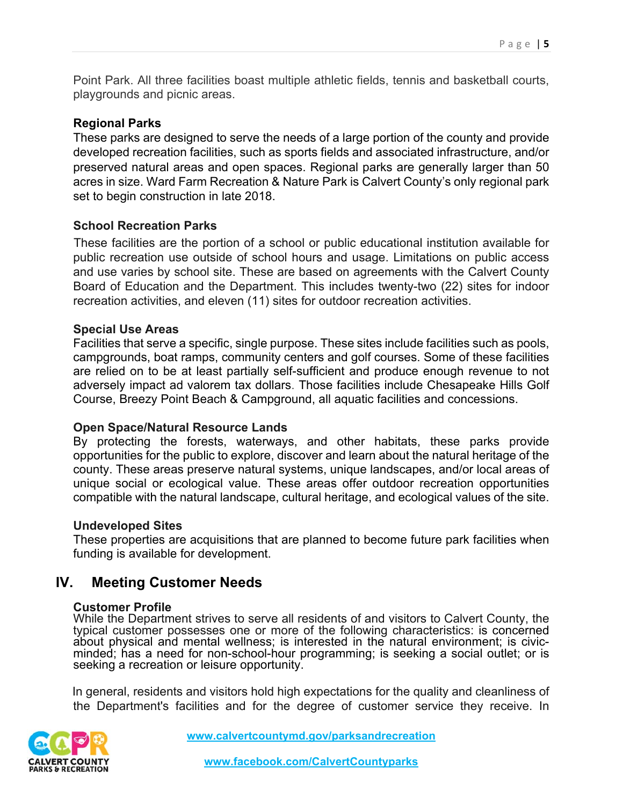Point Park. All three facilities boast multiple athletic fields, tennis and basketball courts, playgrounds and picnic areas.

#### **Regional Parks**

These parks are designed to serve the needs of a large portion of the county and provide developed recreation facilities, such as sports fields and associated infrastructure, and/or preserved natural areas and open spaces. Regional parks are generally larger than 50 acres in size. Ward Farm Recreation & Nature Park is Calvert County's only regional park set to begin construction in late 2018.

#### **School Recreation Parks**

These facilities are the portion of a school or public educational institution available for public recreation use outside of school hours and usage. Limitations on public access and use varies by school site. These are based on agreements with the Calvert County Board of Education and the Department. This includes twenty-two (22) sites for indoor recreation activities, and eleven (11) sites for outdoor recreation activities.

#### **Special Use Areas**

Facilities that serve a specific, single purpose. These sites include facilities such as pools, campgrounds, boat ramps, community centers and golf courses. Some of these facilities are relied on to be at least partially self-sufficient and produce enough revenue to not adversely impact ad valorem tax dollars. Those facilities include Chesapeake Hills Golf Course, Breezy Point Beach & Campground, all aquatic facilities and concessions.

#### **Open Space/Natural Resource Lands**

By protecting the forests, waterways, and other habitats, these parks provide opportunities for the public to explore, discover and learn about the natural heritage of the county. These areas preserve natural systems, unique landscapes, and/or local areas of unique social or ecological value. These areas offer outdoor recreation opportunities compatible with the natural landscape, cultural heritage, and ecological values of the site.

#### **Undeveloped Sites**

These properties are acquisitions that are planned to become future park facilities when funding is available for development.

# **IV. Meeting Customer Needs**

#### **Customer Profile**

While the Department strives to serve all residents of and visitors to Calvert County, the typical customer possesses one or more of the following characteristics: is concerned about physical and mental wellness; is interested in the natural environment; is civicminded; has a need for non-school-hour programming; is seeking a social outlet; or is seeking a recreation or leisure opportunity.

In general, residents and visitors hold high expectations for the quality and cleanliness of the Department's facilities and for the degree of customer service they receive. In

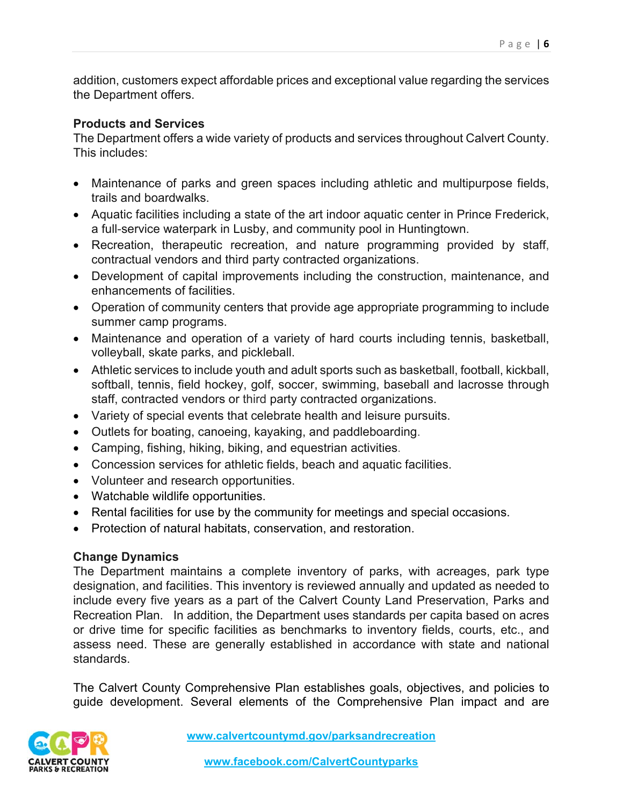addition, customers expect affordable prices and exceptional value regarding the services the Department offers.

#### **Products and Services**

The Department offers a wide variety of products and services throughout Calvert County. This includes:

- Maintenance of parks and green spaces including athletic and multipurpose fields, trails and boardwalks.
- Aquatic facilities including a state of the art indoor aquatic center in Prince Frederick, a full-service waterpark in Lusby, and community pool in Huntingtown.
- Recreation, therapeutic recreation, and nature programming provided by staff, contractual vendors and third party contracted organizations.
- Development of capital improvements including the construction, maintenance, and enhancements of facilities.
- Operation of community centers that provide age appropriate programming to include summer camp programs.
- Maintenance and operation of a variety of hard courts including tennis, basketball, volleyball, skate parks, and pickleball.
- Athletic services to include youth and adult sports such as basketball, football, kickball, softball, tennis, field hockey, golf, soccer, swimming, baseball and lacrosse through staff, contracted vendors or third party contracted organizations.
- Variety of special events that celebrate health and leisure pursuits.
- Outlets for boating, canoeing, kayaking, and paddleboarding.
- Camping, fishing, hiking, biking, and equestrian activities.
- Concession services for athletic fields, beach and aquatic facilities.
- Volunteer and research opportunities.
- Watchable wildlife opportunities.
- Rental facilities for use by the community for meetings and special occasions.
- Protection of natural habitats, conservation, and restoration.

#### **Change Dynamics**

The Department maintains a complete inventory of parks, with acreages, park type designation, and facilities. This inventory is reviewed annually and updated as needed to include every five years as a part of the Calvert County Land Preservation, Parks and Recreation Plan. In addition, the Department uses standards per capita based on acres or drive time for specific facilities as benchmarks to inventory fields, courts, etc., and assess need. These are generally established in accordance with state and national standards.

The Calvert County Comprehensive Plan establishes goals, objectives, and policies to guide development. Several elements of the Comprehensive Plan impact and are

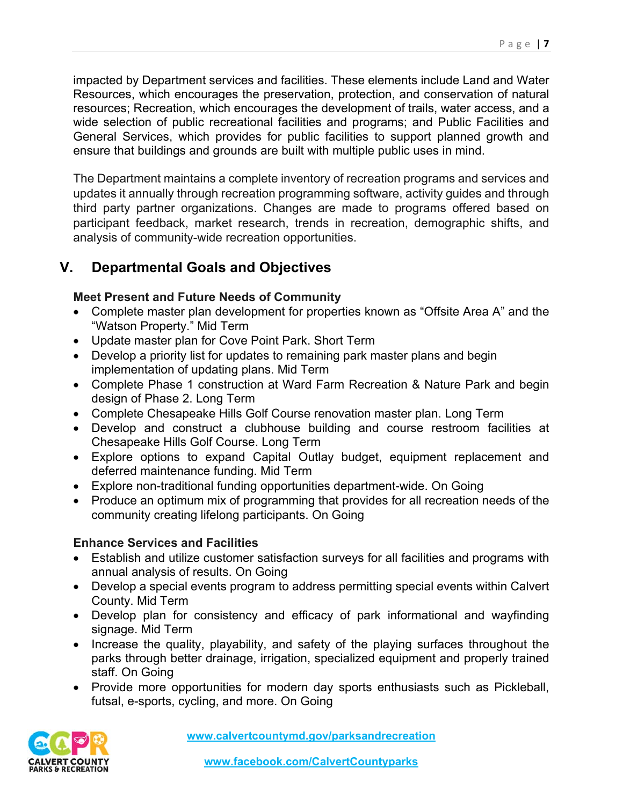impacted by Department services and facilities. These elements include Land and Water Resources, which encourages the preservation, protection, and conservation of natural resources; Recreation, which encourages the development of trails, water access, and a wide selection of public recreational facilities and programs; and Public Facilities and General Services, which provides for public facilities to support planned growth and ensure that buildings and grounds are built with multiple public uses in mind.

The Department maintains a complete inventory of recreation programs and services and updates it annually through recreation programming software, activity guides and through third party partner organizations. Changes are made to programs offered based on participant feedback, market research, trends in recreation, demographic shifts, and analysis of community-wide recreation opportunities.

# **V. Departmental Goals and Objectives**

# **Meet Present and Future Needs of Community**

- Complete master plan development for properties known as "Offsite Area A" and the "Watson Property." Mid Term
- Update master plan for Cove Point Park. Short Term
- Develop a priority list for updates to remaining park master plans and begin implementation of updating plans. Mid Term
- Complete Phase 1 construction at Ward Farm Recreation & Nature Park and begin design of Phase 2. Long Term
- Complete Chesapeake Hills Golf Course renovation master plan. Long Term
- Develop and construct a clubhouse building and course restroom facilities at Chesapeake Hills Golf Course. Long Term
- Explore options to expand Capital Outlay budget, equipment replacement and deferred maintenance funding. Mid Term
- Explore non-traditional funding opportunities department-wide. On Going
- Produce an optimum mix of programming that provides for all recreation needs of the community creating lifelong participants. On Going

# **Enhance Services and Facilities**

- Establish and utilize customer satisfaction surveys for all facilities and programs with annual analysis of results. On Going
- Develop a special events program to address permitting special events within Calvert County. Mid Term
- Develop plan for consistency and efficacy of park informational and wayfinding signage. Mid Term
- Increase the quality, playability, and safety of the playing surfaces throughout the parks through better drainage, irrigation, specialized equipment and properly trained staff. On Going
- Provide more opportunities for modern day sports enthusiasts such as Pickleball, futsal, e-sports, cycling, and more. On Going

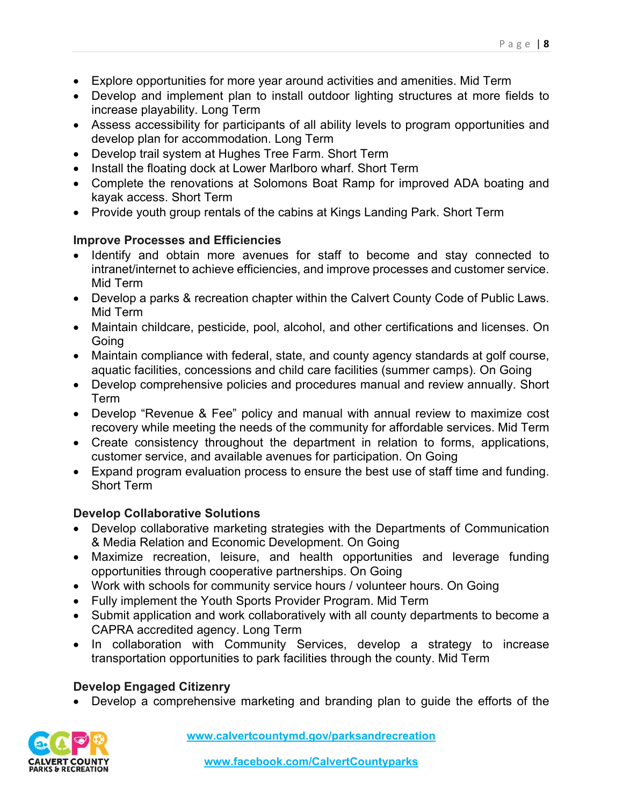- Explore opportunities for more year around activities and amenities. Mid Term
- Develop and implement plan to install outdoor lighting structures at more fields to increase playability. Long Term
- Assess accessibility for participants of all ability levels to program opportunities and develop plan for accommodation. Long Term
- Develop trail system at Hughes Tree Farm. Short Term
- Install the floating dock at Lower Marlboro wharf. Short Term
- Complete the renovations at Solomons Boat Ramp for improved ADA boating and kayak access. Short Term
- Provide youth group rentals of the cabins at Kings Landing Park. Short Term

### **Improve Processes and Efficiencies**

- Identify and obtain more avenues for staff to become and stay connected to intranet/internet to achieve efficiencies, and improve processes and customer service. Mid Term
- Develop a parks & recreation chapter within the Calvert County Code of Public Laws. Mid Term
- Maintain childcare, pesticide, pool, alcohol, and other certifications and licenses. On **Going**
- Maintain compliance with federal, state, and county agency standards at golf course, aquatic facilities, concessions and child care facilities (summer camps). On Going
- Develop comprehensive policies and procedures manual and review annually. Short Term
- Develop "Revenue & Fee" policy and manual with annual review to maximize cost recovery while meeting the needs of the community for affordable services. Mid Term
- Create consistency throughout the department in relation to forms, applications, customer service, and available avenues for participation. On Going
- Expand program evaluation process to ensure the best use of staff time and funding. Short Term

# **Develop Collaborative Solutions**

- Develop collaborative marketing strategies with the Departments of Communication & Media Relation and Economic Development. On Going
- Maximize recreation, leisure, and health opportunities and leverage funding opportunities through cooperative partnerships. On Going
- Work with schools for community service hours / volunteer hours. On Going
- Fully implement the Youth Sports Provider Program. Mid Term
- Submit application and work collaboratively with all county departments to become a CAPRA accredited agency. Long Term
- In collaboration with Community Services, develop a strategy to increase transportation opportunities to park facilities through the county. Mid Term

# **Develop Engaged Citizenry**

Develop a comprehensive marketing and branding plan to guide the efforts of the

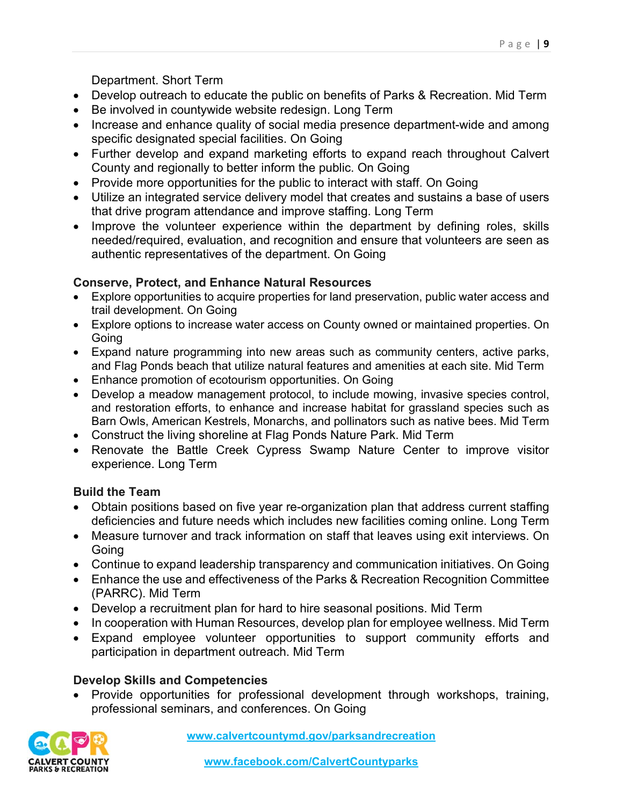Department. Short Term

- Develop outreach to educate the public on benefits of Parks & Recreation. Mid Term
- Be involved in countywide website redesign. Long Term
- Increase and enhance quality of social media presence department-wide and among specific designated special facilities. On Going
- Further develop and expand marketing efforts to expand reach throughout Calvert County and regionally to better inform the public. On Going
- Provide more opportunities for the public to interact with staff. On Going
- Utilize an integrated service delivery model that creates and sustains a base of users that drive program attendance and improve staffing. Long Term
- Improve the volunteer experience within the department by defining roles, skills needed/required, evaluation, and recognition and ensure that volunteers are seen as authentic representatives of the department. On Going

### **Conserve, Protect, and Enhance Natural Resources**

- Explore opportunities to acquire properties for land preservation, public water access and trail development. On Going
- Explore options to increase water access on County owned or maintained properties. On Going
- Expand nature programming into new areas such as community centers, active parks, and Flag Ponds beach that utilize natural features and amenities at each site. Mid Term
- Enhance promotion of ecotourism opportunities. On Going
- Develop a meadow management protocol, to include mowing, invasive species control, and restoration efforts, to enhance and increase habitat for grassland species such as Barn Owls, American Kestrels, Monarchs, and pollinators such as native bees. Mid Term
- Construct the living shoreline at Flag Ponds Nature Park. Mid Term
- Renovate the Battle Creek Cypress Swamp Nature Center to improve visitor experience. Long Term

# **Build the Team**

- Obtain positions based on five year re-organization plan that address current staffing deficiencies and future needs which includes new facilities coming online. Long Term
- Measure turnover and track information on staff that leaves using exit interviews. On Going
- Continue to expand leadership transparency and communication initiatives. On Going
- Enhance the use and effectiveness of the Parks & Recreation Recognition Committee (PARRC). Mid Term
- Develop a recruitment plan for hard to hire seasonal positions. Mid Term
- In cooperation with Human Resources, develop plan for employee wellness. Mid Term
- Expand employee volunteer opportunities to support community efforts and participation in department outreach. Mid Term

# **Develop Skills and Competencies**

 Provide opportunities for professional development through workshops, training, professional seminars, and conferences. On Going

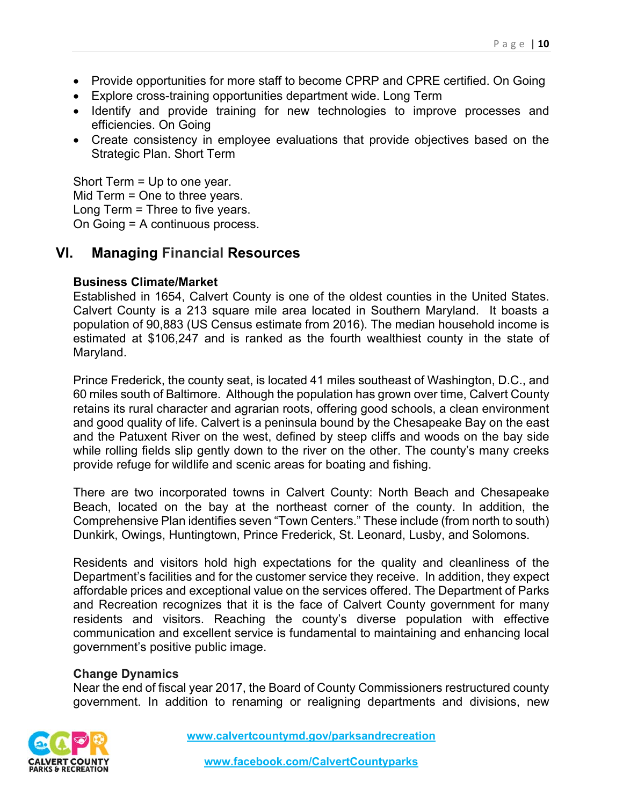- Provide opportunities for more staff to become CPRP and CPRE certified. On Going
- Explore cross-training opportunities department wide. Long Term
- Identify and provide training for new technologies to improve processes and efficiencies. On Going
- Create consistency in employee evaluations that provide objectives based on the Strategic Plan. Short Term

Short Term = Up to one year. Mid Term = One to three years. Long Term = Three to five years. On Going = A continuous process.

# **VI. Managing Financial Resources**

#### **Business Climate/Market**

Established in 1654, Calvert County is one of the oldest counties in the United States. Calvert County is a 213 square mile area located in Southern Maryland. It boasts a population of 90,883 (US Census estimate from 2016). The median household income is estimated at \$106,247 and is ranked as the fourth wealthiest county in the state of Maryland.

Prince Frederick, the county seat, is located 41 miles southeast of Washington, D.C., and 60 miles south of Baltimore. Although the population has grown over time, Calvert County retains its rural character and agrarian roots, offering good schools, a clean environment and good quality of life. Calvert is a peninsula bound by the Chesapeake Bay on the east and the Patuxent River on the west, defined by steep cliffs and woods on the bay side while rolling fields slip gently down to the river on the other. The county's many creeks provide refuge for wildlife and scenic areas for boating and fishing.

There are two incorporated towns in Calvert County: North Beach and Chesapeake Beach, located on the bay at the northeast corner of the county. In addition, the Comprehensive Plan identifies seven "Town Centers." These include (from north to south) Dunkirk, Owings, Huntingtown, Prince Frederick, St. Leonard, Lusby, and Solomons.

Residents and visitors hold high expectations for the quality and cleanliness of the Department's facilities and for the customer service they receive. In addition, they expect affordable prices and exceptional value on the services offered. The Department of Parks and Recreation recognizes that it is the face of Calvert County government for many residents and visitors. Reaching the county's diverse population with effective communication and excellent service is fundamental to maintaining and enhancing local government's positive public image.

#### **Change Dynamics**

Near the end of fiscal year 2017, the Board of County Commissioners restructured county government. In addition to renaming or realigning departments and divisions, new

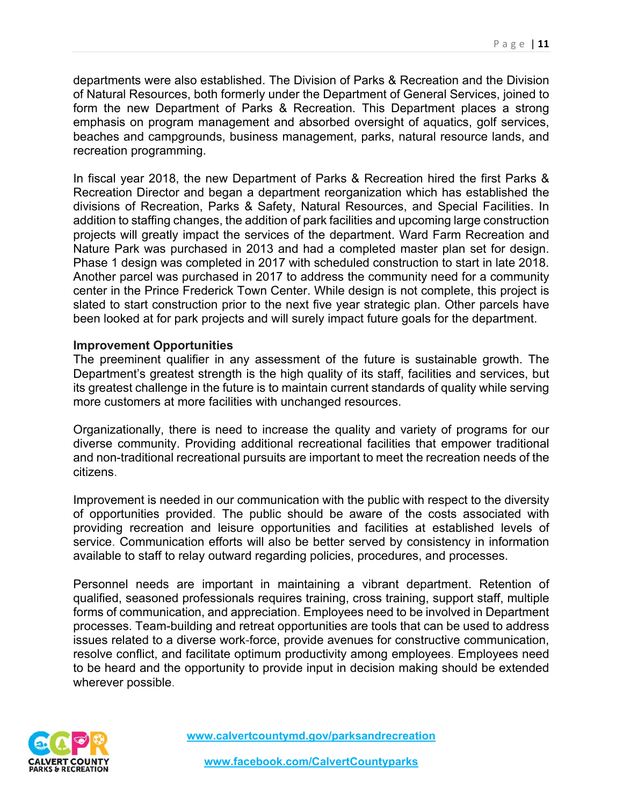departments were also established. The Division of Parks & Recreation and the Division of Natural Resources, both formerly under the Department of General Services, joined to form the new Department of Parks & Recreation. This Department places a strong emphasis on program management and absorbed oversight of aquatics, golf services, beaches and campgrounds, business management, parks, natural resource lands, and recreation programming.

In fiscal year 2018, the new Department of Parks & Recreation hired the first Parks & Recreation Director and began a department reorganization which has established the divisions of Recreation, Parks & Safety, Natural Resources, and Special Facilities. In addition to staffing changes, the addition of park facilities and upcoming large construction projects will greatly impact the services of the department. Ward Farm Recreation and Nature Park was purchased in 2013 and had a completed master plan set for design. Phase 1 design was completed in 2017 with scheduled construction to start in late 2018. Another parcel was purchased in 2017 to address the community need for a community center in the Prince Frederick Town Center. While design is not complete, this project is slated to start construction prior to the next five year strategic plan. Other parcels have been looked at for park projects and will surely impact future goals for the department.

#### **Improvement Opportunities**

The preeminent qualifier in any assessment of the future is sustainable growth. The Department's greatest strength is the high quality of its staff, facilities and services, but its greatest challenge in the future is to maintain current standards of quality while serving more customers at more facilities with unchanged resources.

Organizationally, there is need to increase the quality and variety of programs for our diverse community. Providing additional recreational facilities that empower traditional and non-traditional recreational pursuits are important to meet the recreation needs of the citizens.

Improvement is needed in our communication with the public with respect to the diversity of opportunities provided. The public should be aware of the costs associated with providing recreation and leisure opportunities and facilities at established levels of service. Communication efforts will also be better served by consistency in information available to staff to relay outward regarding policies, procedures, and processes.

Personnel needs are important in maintaining a vibrant department. Retention of qualified, seasoned professionals requires training, cross training, support staff, multiple forms of communication, and appreciation. Employees need to be involved in Department processes. Team-building and retreat opportunities are tools that can be used to address issues related to a diverse work-force, provide avenues for constructive communication, resolve conflict, and facilitate optimum productivity among employees. Employees need to be heard and the opportunity to provide input in decision making should be extended wherever possible.

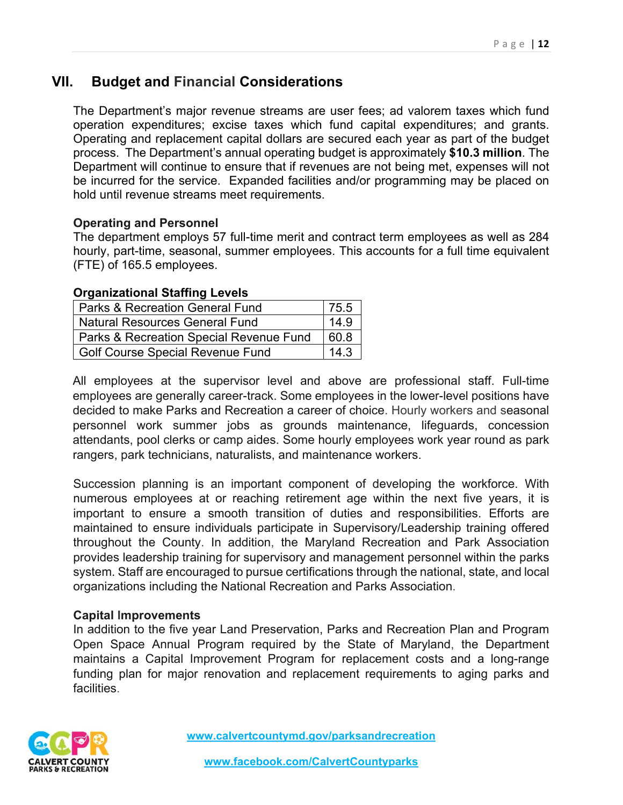# **VII. Budget and Financial Considerations**

The Department's major revenue streams are user fees; ad valorem taxes which fund operation expenditures; excise taxes which fund capital expenditures; and grants. Operating and replacement capital dollars are secured each year as part of the budget process. The Department's annual operating budget is approximately **\$10.3 million**. The Department will continue to ensure that if revenues are not being met, expenses will not be incurred for the service. Expanded facilities and/or programming may be placed on hold until revenue streams meet requirements.

#### **Operating and Personnel**

The department employs 57 full-time merit and contract term employees as well as 284 hourly, part-time, seasonal, summer employees. This accounts for a full time equivalent (FTE) of 165.5 employees.

#### **Organizational Staffing Levels**

| <b>Parks &amp; Recreation General Fund</b>         | 75.5 |
|----------------------------------------------------|------|
| <b>Natural Resources General Fund</b>              | 14.9 |
| <b>Parks &amp; Recreation Special Revenue Fund</b> | 60.8 |
| <b>Golf Course Special Revenue Fund</b>            | 14.3 |

All employees at the supervisor level and above are professional staff. Full-time employees are generally career-track. Some employees in the lower-level positions have decided to make Parks and Recreation a career of choice. Hourly workers and seasonal personnel work summer jobs as grounds maintenance, lifeguards, concession attendants, pool clerks or camp aides. Some hourly employees work year round as park rangers, park technicians, naturalists, and maintenance workers.

Succession planning is an important component of developing the workforce. With numerous employees at or reaching retirement age within the next five years, it is important to ensure a smooth transition of duties and responsibilities. Efforts are maintained to ensure individuals participate in Supervisory/Leadership training offered throughout the County. In addition, the Maryland Recreation and Park Association provides leadership training for supervisory and management personnel within the parks system. Staff are encouraged to pursue certifications through the national, state, and local organizations including the National Recreation and Parks Association.

#### **Capital Improvements**

In addition to the five year Land Preservation, Parks and Recreation Plan and Program Open Space Annual Program required by the State of Maryland, the Department maintains a Capital Improvement Program for replacement costs and a long-range funding plan for major renovation and replacement requirements to aging parks and facilities.

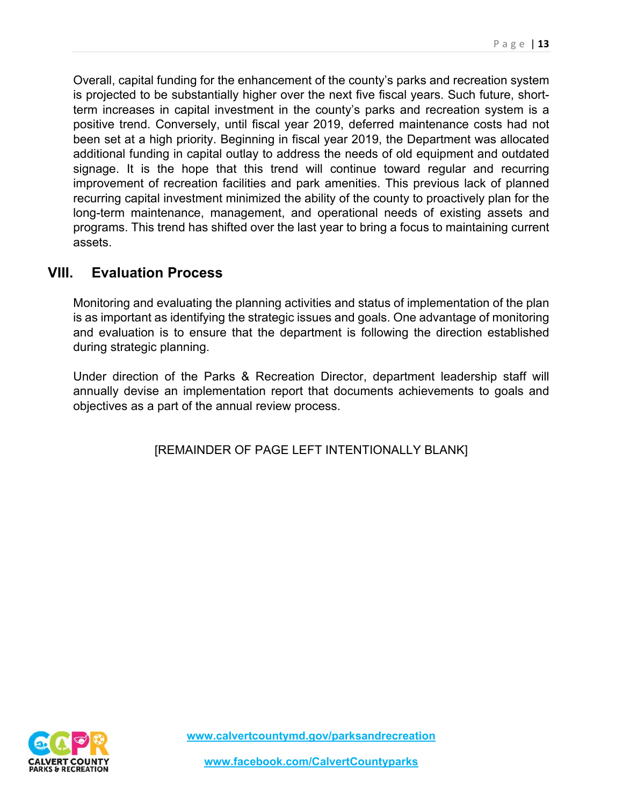Overall, capital funding for the enhancement of the county's parks and recreation system is projected to be substantially higher over the next five fiscal years. Such future, shortterm increases in capital investment in the county's parks and recreation system is a positive trend. Conversely, until fiscal year 2019, deferred maintenance costs had not been set at a high priority. Beginning in fiscal year 2019, the Department was allocated additional funding in capital outlay to address the needs of old equipment and outdated signage. It is the hope that this trend will continue toward regular and recurring improvement of recreation facilities and park amenities. This previous lack of planned recurring capital investment minimized the ability of the county to proactively plan for the long-term maintenance, management, and operational needs of existing assets and programs. This trend has shifted over the last year to bring a focus to maintaining current assets.

# **VIII. Evaluation Process**

Monitoring and evaluating the planning activities and status of implementation of the plan is as important as identifying the strategic issues and goals. One advantage of monitoring and evaluation is to ensure that the department is following the direction established during strategic planning.

Under direction of the Parks & Recreation Director, department leadership staff will annually devise an implementation report that documents achievements to goals and objectives as a part of the annual review process.

[REMAINDER OF PAGE LEFT INTENTIONALLY BLANK]